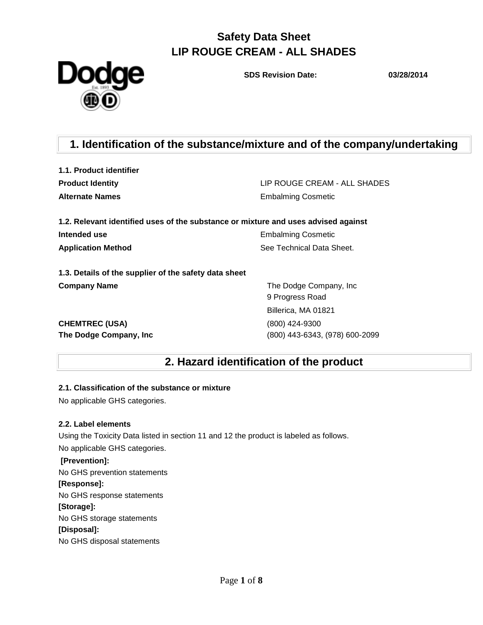**Dodge** 

**SDS Revision Date: 03/28/2014**

### **1. Identification of the substance/mixture and of the company/undertaking**

**1.1. Product identifier**

**Product Identity** LIP ROUGE CREAM - ALL SHADES **Alternate Names** Embalming Cosmetic

| 1.2. Relevant identified uses of the substance or mixture and uses advised against |                           |
|------------------------------------------------------------------------------------|---------------------------|
| Intended use                                                                       | <b>Embalming Cosmetic</b> |
| <b>Application Method</b>                                                          | See Technical Data Sheet. |

**1.3. Details of the supplier of the safety data sheet Company Name** The Dodge Company, Inc.

**CHEMTREC (USA)** (800) 424-9300

9 Progress Road Billerica, MA 01821 **The Dodge Company, Inc** (800) 443-6343, (978) 600-2099

### **2. Hazard identification of the product**

#### **2.1. Classification of the substance or mixture**

No applicable GHS categories.

#### **2.2. Label elements**

Using the Toxicity Data listed in section 11 and 12 the product is labeled as follows. No applicable GHS categories.

#### **[Prevention]:**

No GHS prevention statements

#### **[Response]:**

No GHS response statements

#### **[Storage]:**

No GHS storage statements

#### **[Disposal]:**

No GHS disposal statements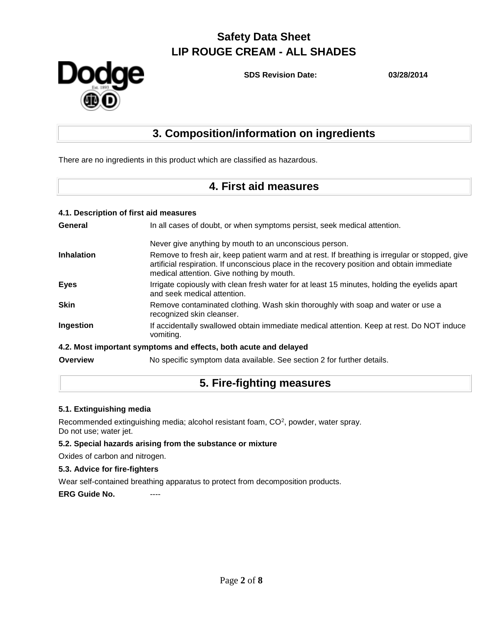

**SDS Revision Date: 03/28/2014**

## **3. Composition/information on ingredients**

There are no ingredients in this product which are classified as hazardous.

### **4. First aid measures**

|                 | 4.1. Description of first aid measures                                                                                                                                                                                                    |
|-----------------|-------------------------------------------------------------------------------------------------------------------------------------------------------------------------------------------------------------------------------------------|
| General         | In all cases of doubt, or when symptoms persist, seek medical attention.                                                                                                                                                                  |
|                 | Never give anything by mouth to an unconscious person.                                                                                                                                                                                    |
| Inhalation      | Remove to fresh air, keep patient warm and at rest. If breathing is irregular or stopped, give<br>artificial respiration. If unconscious place in the recovery position and obtain immediate<br>medical attention. Give nothing by mouth. |
| <b>Eyes</b>     | Irrigate copiously with clean fresh water for at least 15 minutes, holding the eyelids apart<br>and seek medical attention.                                                                                                               |
| <b>Skin</b>     | Remove contaminated clothing. Wash skin thoroughly with soap and water or use a<br>recognized skin cleanser.                                                                                                                              |
| Ingestion       | If accidentally swallowed obtain immediate medical attention. Keep at rest. Do NOT induce<br>vomiting.                                                                                                                                    |
|                 | 4.2. Most important symptoms and effects, both acute and delayed                                                                                                                                                                          |
| <b>Overview</b> | No specific symptom data available. See section 2 for further details.                                                                                                                                                                    |

### **5. Fire-fighting measures**

#### **5.1. Extinguishing media**

Recommended extinguishing media; alcohol resistant foam, CO<sup>2</sup>, powder, water spray. Do not use; water jet.

#### **5.2. Special hazards arising from the substance or mixture**

Oxides of carbon and nitrogen.

#### **5.3. Advice for fire-fighters**

Wear self-contained breathing apparatus to protect from decomposition products.

**ERG Guide No. ----**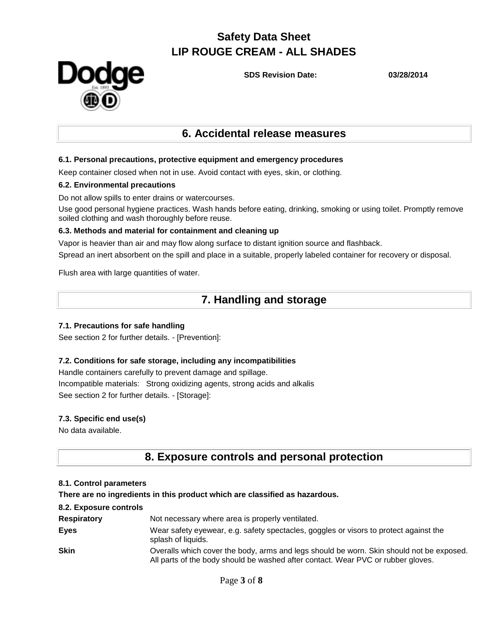

**SDS Revision Date: 03/28/2014**

### **6. Accidental release measures**

#### **6.1. Personal precautions, protective equipment and emergency procedures**

Keep container closed when not in use. Avoid contact with eyes, skin, or clothing.

#### **6.2. Environmental precautions**

Do not allow spills to enter drains or watercourses.

Use good personal hygiene practices. Wash hands before eating, drinking, smoking or using toilet. Promptly remove soiled clothing and wash thoroughly before reuse.

#### **6.3. Methods and material for containment and cleaning up**

Vapor is heavier than air and may flow along surface to distant ignition source and flashback. Spread an inert absorbent on the spill and place in a suitable, properly labeled container for recovery or disposal.

Flush area with large quantities of water.

### **7. Handling and storage**

#### **7.1. Precautions for safe handling**

See section 2 for further details. - [Prevention]:

#### **7.2. Conditions for safe storage, including any incompatibilities**

Handle containers carefully to prevent damage and spillage. Incompatible materials: Strong oxidizing agents, strong acids and alkalis See section 2 for further details. - [Storage]:

#### **7.3. Specific end use(s)**

No data available.

### **8. Exposure controls and personal protection**

#### **8.1. Control parameters**

**There are no ingredients in this product which are classified as hazardous.** 

#### **8.2. Exposure controls**

| <b>Respiratory</b> | Not necessary where area is properly ventilated.                                                                                                                             |
|--------------------|------------------------------------------------------------------------------------------------------------------------------------------------------------------------------|
| <b>Eyes</b>        | Wear safety eyewear, e.g. safety spectacles, goggles or visors to protect against the<br>splash of liquids.                                                                  |
| <b>Skin</b>        | Overalls which cover the body, arms and legs should be worn. Skin should not be exposed.<br>All parts of the body should be washed after contact. Wear PVC or rubber gloves. |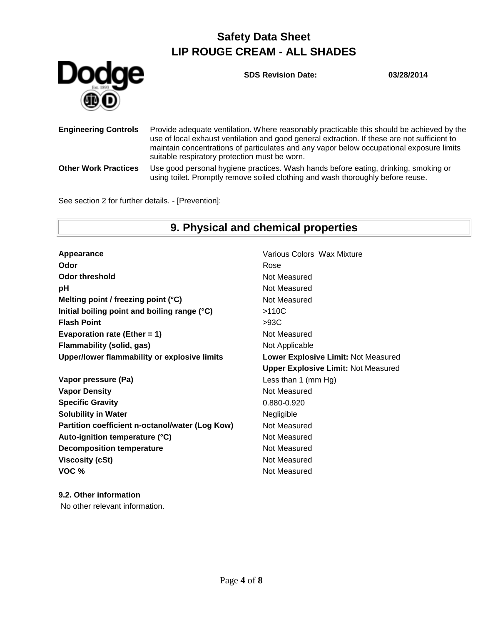

**SDS Revision Date: 03/28/2014**

| <b>Engineering Controls</b> | Provide adequate ventilation. Where reasonably practicable this should be achieved by the<br>use of local exhaust ventilation and good general extraction. If these are not sufficient to<br>maintain concentrations of particulates and any vapor below occupational exposure limits<br>suitable respiratory protection must be worn. |
|-----------------------------|----------------------------------------------------------------------------------------------------------------------------------------------------------------------------------------------------------------------------------------------------------------------------------------------------------------------------------------|
| <b>Other Work Practices</b> | Use good personal hygiene practices. Wash hands before eating, drinking, smoking or<br>using toilet. Promptly remove soiled clothing and wash thoroughly before reuse.                                                                                                                                                                 |

See section 2 for further details. - [Prevention]:

### **9. Physical and chemical properties**

**Appearance Various Colors Wax Mixture Odor** Rose Rose **Odor threshold** Not Measured **pH** Not Measured **Melting point / freezing point (°C)** Not Measured **Initial boiling point and boiling range (°C)** >110C **Flash Point** >93C **Evaporation rate (Ether = 1)** Not Measured **Flammability (solid, gas)** Not Applicable **Upper/lower flammability or explosive limits Lower Explosive Limit:** Not Measured

**Vapor pressure (Pa)** Less than 1 (mm Hg) **Vapor Density Not Measured** Not Measured **Specific Gravity** 0.880-0.920 **Solubility in Water** Negligible **Partition coefficient n-octanol/water (Log Kow)** Not Measured Auto-ignition temperature (°C) Not Measured **Decomposition temperature** Not Measured **Viscosity (cSt)** Not Measured **VOC %** Not Measured

**Upper Explosive Limit:** Not Measured

#### **9.2. Other information** No other relevant information.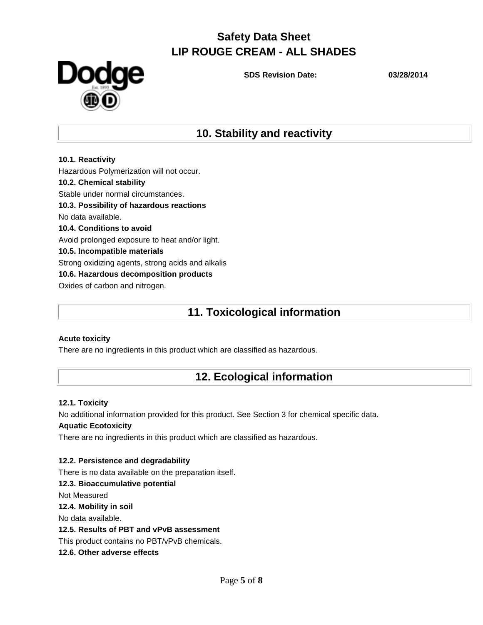

**SDS Revision Date: 03/28/2014**

### **10. Stability and reactivity**

**10.1. Reactivity** Hazardous Polymerization will not occur. **10.2. Chemical stability** Stable under normal circumstances. **10.3. Possibility of hazardous reactions** No data available. **10.4. Conditions to avoid** Avoid prolonged exposure to heat and/or light. **10.5. Incompatible materials** Strong oxidizing agents, strong acids and alkalis **10.6. Hazardous decomposition products** Oxides of carbon and nitrogen.

### **11. Toxicological information**

### **Acute toxicity**

There are no ingredients in this product which are classified as hazardous.

### **12. Ecological information**

### **12.1. Toxicity**

No additional information provided for this product. See Section 3 for chemical specific data. **Aquatic Ecotoxicity**

There are no ingredients in this product which are classified as hazardous.

#### **12.2. Persistence and degradability**

There is no data available on the preparation itself.

#### **12.3. Bioaccumulative potential**

Not Measured

**12.4. Mobility in soil**

No data available.

#### **12.5. Results of PBT and vPvB assessment**

This product contains no PBT/vPvB chemicals.

**12.6. Other adverse effects**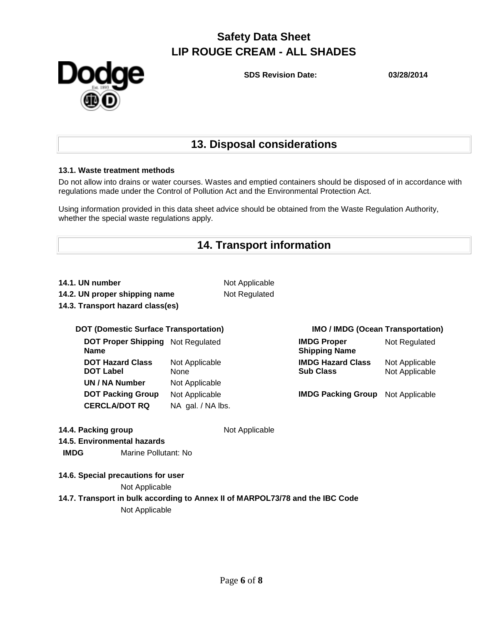

**SDS Revision Date: 03/28/2014**

### **13. Disposal considerations**

#### **13.1. Waste treatment methods**

Do not allow into drains or water courses. Wastes and emptied containers should be disposed of in accordance with regulations made under the Control of Pollution Act and the Environmental Protection Act.

Using information provided in this data sheet advice should be obtained from the Waste Regulation Authority, whether the special waste regulations apply.

### **14. Transport information**

|  |  |  |  |  | 14.1. UN number |
|--|--|--|--|--|-----------------|
|--|--|--|--|--|-----------------|

**14.2. UN proper shipping name** Not Regulated **14.3. Transport hazard class(es)**

**Not Applicable** 

#### **DOT (Domestic Surface Transportation) IMO / IMDG (Ocean Transportation)**

**DOT Proper Shipping**  Not Regulated **IMDG Proper Name DOT Hazard Class DOT Label** Not Applicable None **UN / NA Number** Not Applicable **CERCLA/DOT RQ** NA gal. / NA lbs.

| <b>IMDG Proper</b><br><b>Shipping Name</b> | Not Regulated  |
|--------------------------------------------|----------------|
| <b>IMDG Hazard Class</b>                   | Not Applicable |
| <b>Sub Class</b>                           | Not Applicable |

**DOT Packing Group** Not Applicable **IMDG Packing Group** Not Applicable

| 14.4. Packing group         |                                    | Not Applicable                                                                |  |
|-----------------------------|------------------------------------|-------------------------------------------------------------------------------|--|
| 14.5. Environmental hazards |                                    |                                                                               |  |
| <b>IMDG</b>                 | Marine Pollutant: No               |                                                                               |  |
|                             | 14.6. Special precautions for user |                                                                               |  |
|                             | Not Applicable                     |                                                                               |  |
|                             |                                    | 14.7. Transport in bulk according to Annex II of MARPOL73/78 and the IBC Code |  |
|                             | Not Applicable                     |                                                                               |  |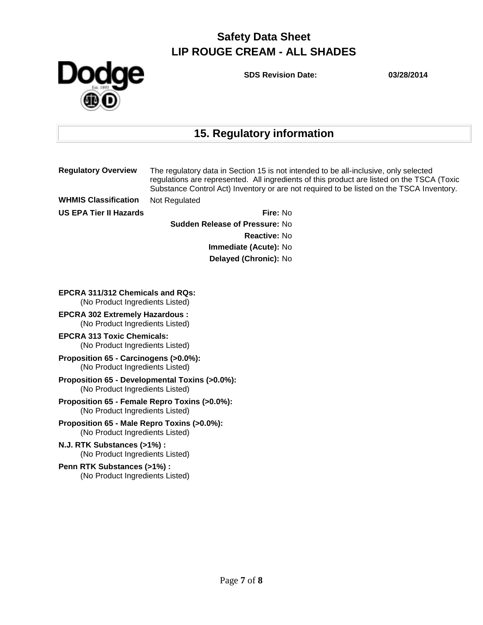

**SDS Revision Date: 03/28/2014**

# **15. Regulatory information**

|                                                                                   | <b>Regulatory Overview</b>                                     | The regulatory data in Section 15 is not intended to be all-inclusive, only selected<br>regulations are represented. All ingredients of this product are listed on the TSCA (Toxic<br>Substance Control Act) Inventory or are not required to be listed on the TSCA Inventory. |  |  |
|-----------------------------------------------------------------------------------|----------------------------------------------------------------|--------------------------------------------------------------------------------------------------------------------------------------------------------------------------------------------------------------------------------------------------------------------------------|--|--|
|                                                                                   | <b>WHMIS Classification</b>                                    | Not Regulated                                                                                                                                                                                                                                                                  |  |  |
|                                                                                   | <b>US EPA Tier II Hazards</b>                                  | Fire: No                                                                                                                                                                                                                                                                       |  |  |
|                                                                                   |                                                                | <b>Sudden Release of Pressure: No</b>                                                                                                                                                                                                                                          |  |  |
|                                                                                   |                                                                | Reactive: No                                                                                                                                                                                                                                                                   |  |  |
|                                                                                   |                                                                | Immediate (Acute): No                                                                                                                                                                                                                                                          |  |  |
|                                                                                   | Delayed (Chronic): No                                          |                                                                                                                                                                                                                                                                                |  |  |
|                                                                                   |                                                                |                                                                                                                                                                                                                                                                                |  |  |
| <b>EPCRA 311/312 Chemicals and RQs:</b><br>(No Product Ingredients Listed)        |                                                                |                                                                                                                                                                                                                                                                                |  |  |
| <b>EPCRA 302 Extremely Hazardous:</b><br>(No Product Ingredients Listed)          |                                                                |                                                                                                                                                                                                                                                                                |  |  |
| <b>EPCRA 313 Toxic Chemicals:</b><br>(No Product Ingredients Listed)              |                                                                |                                                                                                                                                                                                                                                                                |  |  |
| Proposition 65 - Carcinogens (>0.0%):<br>(No Product Ingredients Listed)          |                                                                |                                                                                                                                                                                                                                                                                |  |  |
| Proposition 65 - Developmental Toxins (>0.0%):<br>(No Product Ingredients Listed) |                                                                |                                                                                                                                                                                                                                                                                |  |  |
| Proposition 65 - Female Repro Toxins (>0.0%):<br>(No Product Ingredients Listed)  |                                                                |                                                                                                                                                                                                                                                                                |  |  |
| Proposition 65 - Male Repro Toxins (>0.0%):<br>(No Product Ingredients Listed)    |                                                                |                                                                                                                                                                                                                                                                                |  |  |
| N.J. RTK Substances (>1%) :<br>(No Product Ingredients Listed)                    |                                                                |                                                                                                                                                                                                                                                                                |  |  |
|                                                                                   | Penn RTK Substances (>1%) :<br>(No Product Ingredients Listed) |                                                                                                                                                                                                                                                                                |  |  |
|                                                                                   |                                                                |                                                                                                                                                                                                                                                                                |  |  |